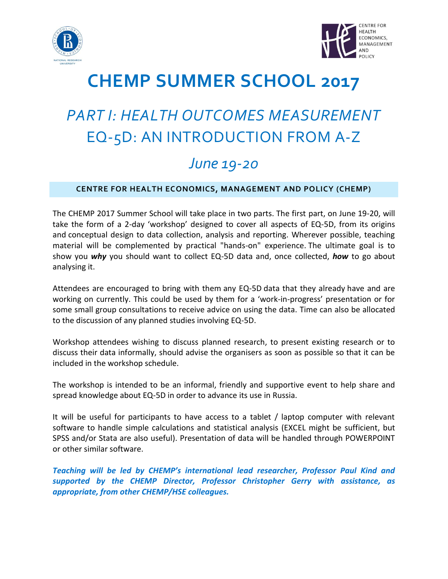



## **CHEMP SUMMER SCHOOL 2017**

# *PART I: HEALTH OUTCOMES MEASUREMENT* EQ-5D: AN INTRODUCTION FROM A-Z

### *June 19-20*

#### **CENTRE FOR HEALTH ECONOMICS, MANAGEMENT AND POLICY (CHEMP)**

The CHEMP 2017 Summer School will take place in two parts. The first part, on June 19-20, will take the form of a 2-day 'workshop' designed to cover all aspects of EQ-5D, from its origins and conceptual design to data collection, analysis and reporting. Wherever possible, teaching material will be complemented by practical "hands-on" experience. The ultimate goal is to show you *why* you should want to collect EQ-5D data and, once collected, *how* to go about analysing it.

Attendees are encouraged to bring with them any EQ-5D data that they already have and are working on currently. This could be used by them for a 'work-in-progress' presentation or for some small group consultations to receive advice on using the data. Time can also be allocated to the discussion of any planned studies involving EQ-5D.

Workshop attendees wishing to discuss planned research, to present existing research or to discuss their data informally, should advise the organisers as soon as possible so that it can be included in the workshop schedule.

The workshop is intended to be an informal, friendly and supportive event to help share and spread knowledge about EQ-5D in order to advance its use in Russia.

It will be useful for participants to have access to a tablet / laptop computer with relevant software to handle simple calculations and statistical analysis (EXCEL might be sufficient, but SPSS and/or Stata are also useful). Presentation of data will be handled through POWERPOINT or other similar software.

*Teaching will be led by CHEMP's international lead researcher, Professor Paul Kind and supported by the CHEMP Director, Professor Christopher Gerry with assistance, as appropriate, from other CHEMP/HSE colleagues.*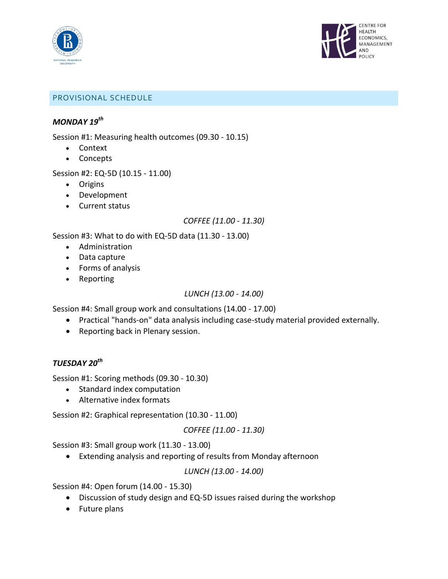



#### PROVISIONAL SCHEDULE

#### *MONDAY 19th*

Session #1: Measuring health outcomes (09.30 - 10.15)

- Context
- Concepts

Session #2: EQ-5D (10.15 - 11.00)

- Origins
- Development
- Current status

#### *COFFEE (11.00 - 11.30)*

Session #3: What to do with EQ-5D data (11.30 - 13.00)

- Administration
- Data capture
- Forms of analysis
- Reporting

#### *LUNCH (13.00 - 14.00)*

Session #4: Small group work and consultations (14.00 - 17.00)

- Practical "hands-on" data analysis including case-study material provided externally.
- Reporting back in Plenary session.

#### *TUESDAY 20th*

Session #1: Scoring methods (09.30 - 10.30)

- Standard index computation
- Alternative index formats

Session #2: Graphical representation (10.30 - 11.00)

#### *COFFEE (11.00 - 11.30)*

Session #3: Small group work (11.30 - 13.00)

Extending analysis and reporting of results from Monday afternoon

*LUNCH (13.00 - 14.00)*

Session #4: Open forum (14.00 - 15.30)

- Discussion of study design and EQ-5D issues raised during the workshop
- Future plans